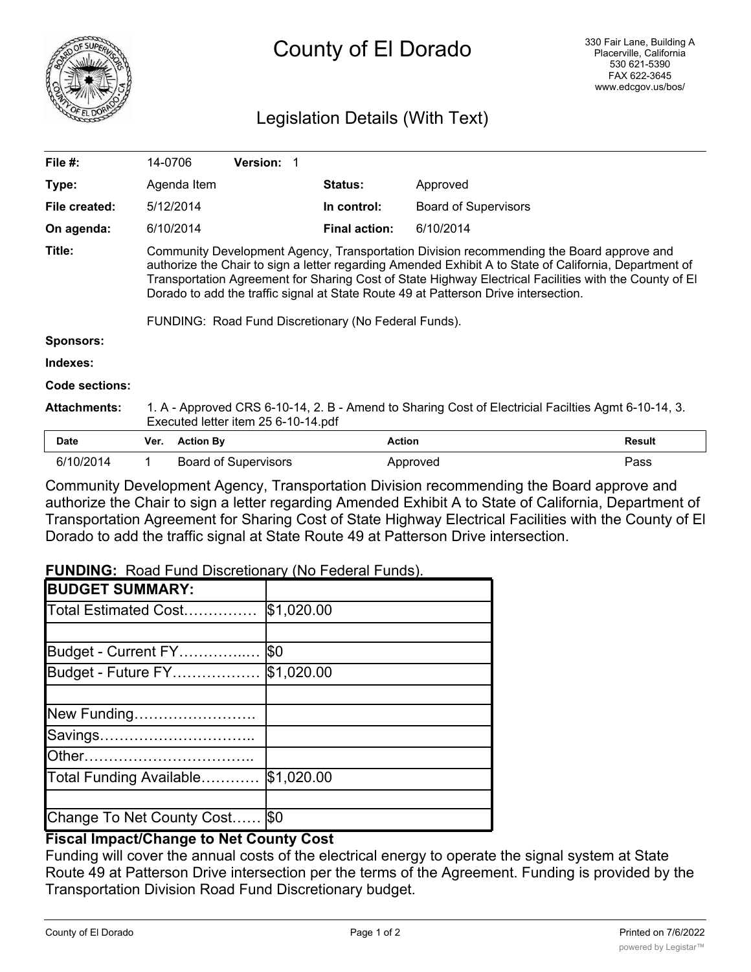

# Legislation Details (With Text)

| File #:             | 14-0706                                                                                                                                                                                                                                                                                                                                                                                             |                             | <b>Version:</b> |                                                      |                             |               |
|---------------------|-----------------------------------------------------------------------------------------------------------------------------------------------------------------------------------------------------------------------------------------------------------------------------------------------------------------------------------------------------------------------------------------------------|-----------------------------|-----------------|------------------------------------------------------|-----------------------------|---------------|
| Type:               |                                                                                                                                                                                                                                                                                                                                                                                                     | Agenda Item                 |                 | <b>Status:</b>                                       | Approved                    |               |
| File created:       | 5/12/2014                                                                                                                                                                                                                                                                                                                                                                                           |                             |                 | In control:                                          | <b>Board of Supervisors</b> |               |
| On agenda:          | 6/10/2014                                                                                                                                                                                                                                                                                                                                                                                           |                             |                 | <b>Final action:</b>                                 | 6/10/2014                   |               |
| Title:              | Community Development Agency, Transportation Division recommending the Board approve and<br>authorize the Chair to sign a letter regarding Amended Exhibit A to State of California, Department of<br>Transportation Agreement for Sharing Cost of State Highway Electrical Facilities with the County of El<br>Dorado to add the traffic signal at State Route 49 at Patterson Drive intersection. |                             |                 |                                                      |                             |               |
|                     |                                                                                                                                                                                                                                                                                                                                                                                                     |                             |                 | FUNDING: Road Fund Discretionary (No Federal Funds). |                             |               |
| <b>Sponsors:</b>    |                                                                                                                                                                                                                                                                                                                                                                                                     |                             |                 |                                                      |                             |               |
| Indexes:            |                                                                                                                                                                                                                                                                                                                                                                                                     |                             |                 |                                                      |                             |               |
| Code sections:      |                                                                                                                                                                                                                                                                                                                                                                                                     |                             |                 |                                                      |                             |               |
| <b>Attachments:</b> | 1. A - Approved CRS 6-10-14, 2. B - Amend to Sharing Cost of Electricial Facilties Agmt 6-10-14, 3.<br>Executed letter item 25 6-10-14.pdf                                                                                                                                                                                                                                                          |                             |                 |                                                      |                             |               |
| <b>Date</b>         | Ver.                                                                                                                                                                                                                                                                                                                                                                                                | <b>Action By</b>            |                 | <b>Action</b>                                        |                             | <b>Result</b> |
| 6/10/2014           |                                                                                                                                                                                                                                                                                                                                                                                                     | <b>Board of Supervisors</b> |                 |                                                      | Approved                    | Pass          |

Community Development Agency, Transportation Division recommending the Board approve and authorize the Chair to sign a letter regarding Amended Exhibit A to State of California, Department of Transportation Agreement for Sharing Cost of State Highway Electrical Facilities with the County of El Dorado to add the traffic signal at State Route 49 at Patterson Drive intersection.

**FUNDING:** Road Fund Discretionary (No Federal Funds).

| <b>BUDGET SUMMARY:</b>    |             |
|---------------------------|-------------|
| Total Estimated Cost      | \$1,020.00  |
|                           |             |
| Budget - Current FY       | <b>\\$0</b> |
| Budget - Future FY        | \$1,020.00  |
|                           |             |
| New Funding               |             |
| Savings                   |             |
|                           |             |
| Total Funding Available   | \$1,020.00  |
|                           |             |
| Change To Net County Cost | <b>SO</b>   |

# **Fiscal Impact/Change to Net County Cost**

Funding will cover the annual costs of the electrical energy to operate the signal system at State Route 49 at Patterson Drive intersection per the terms of the Agreement. Funding is provided by the Transportation Division Road Fund Discretionary budget.